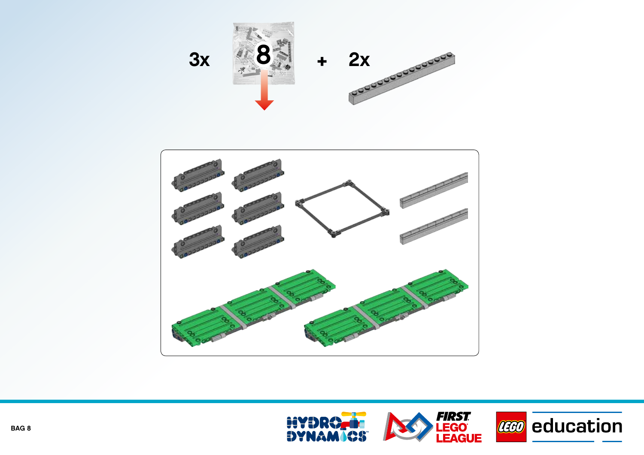



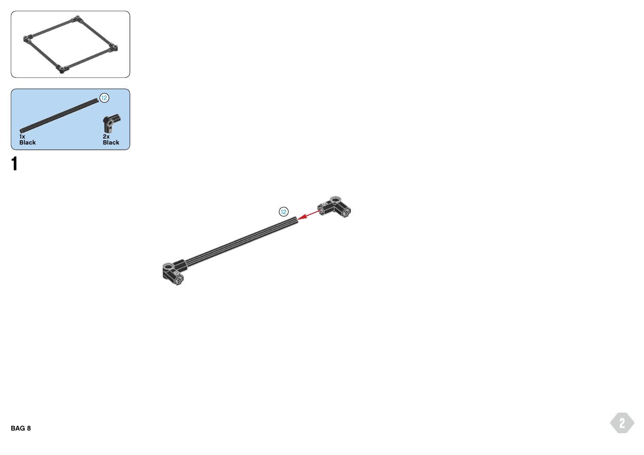



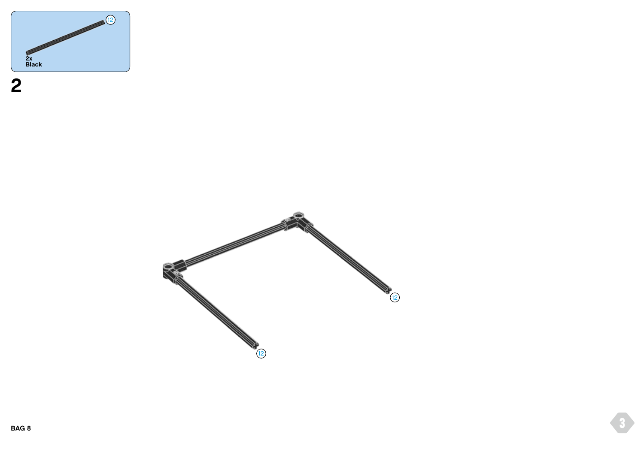

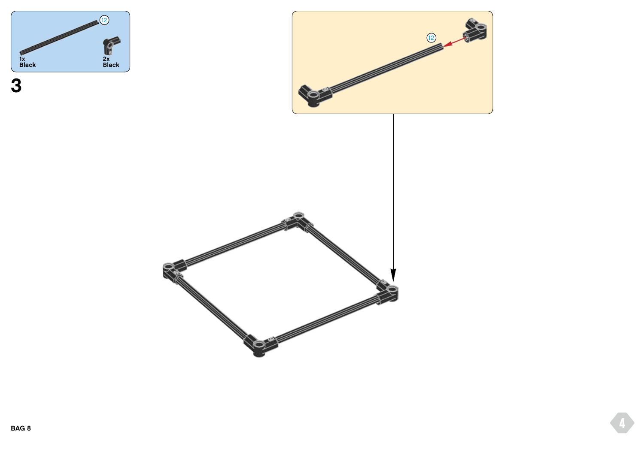



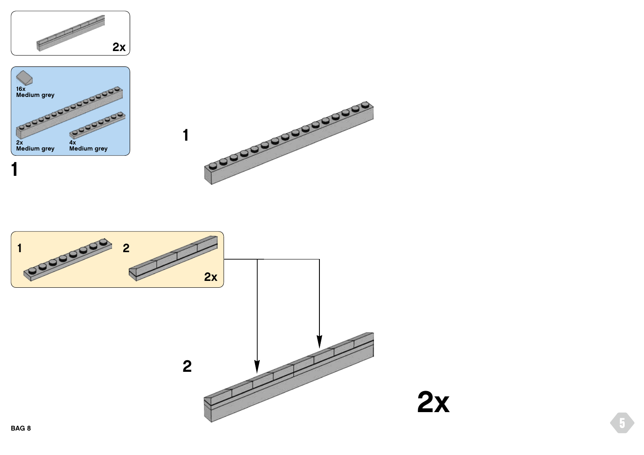





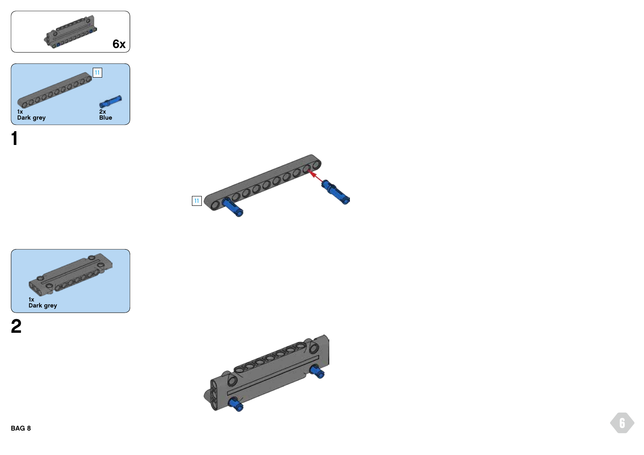







**1**

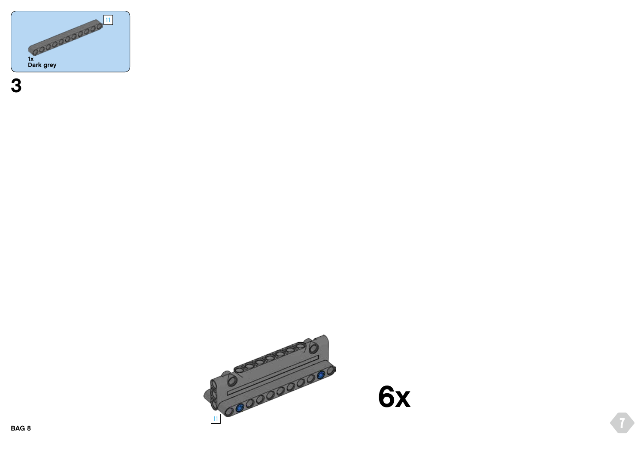

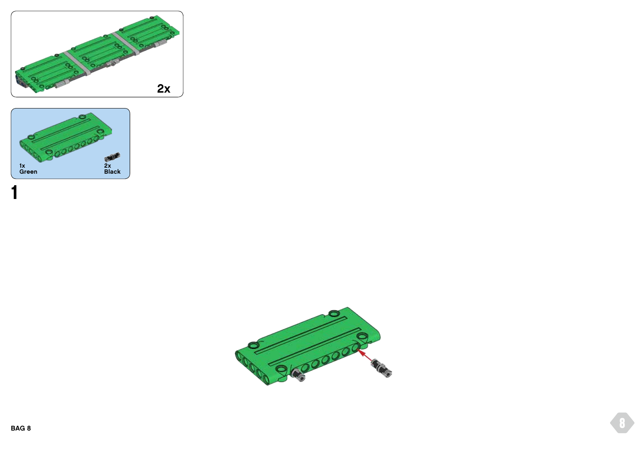



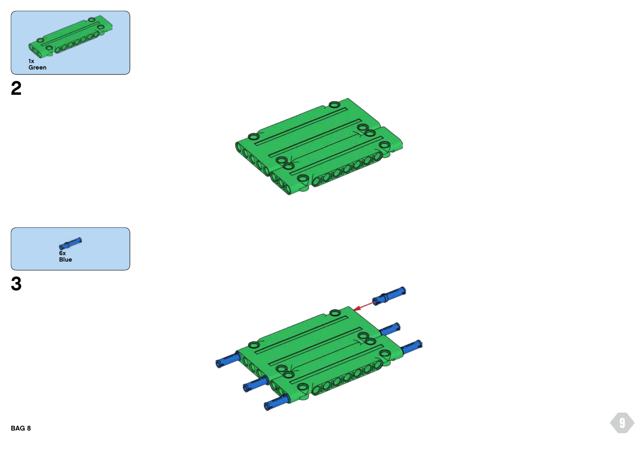





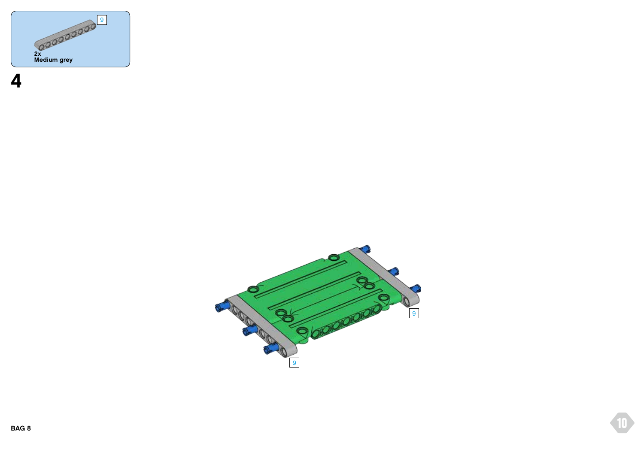

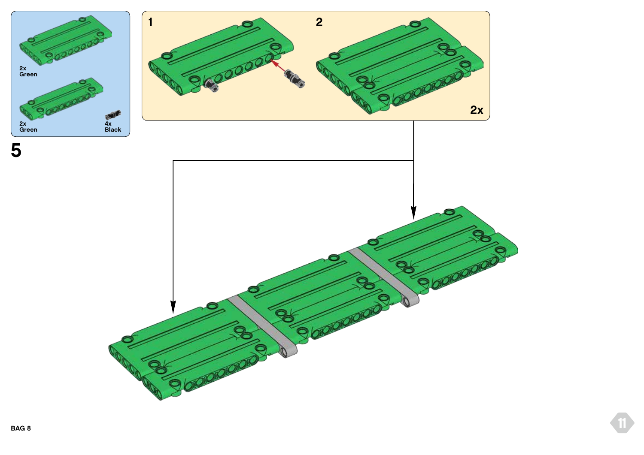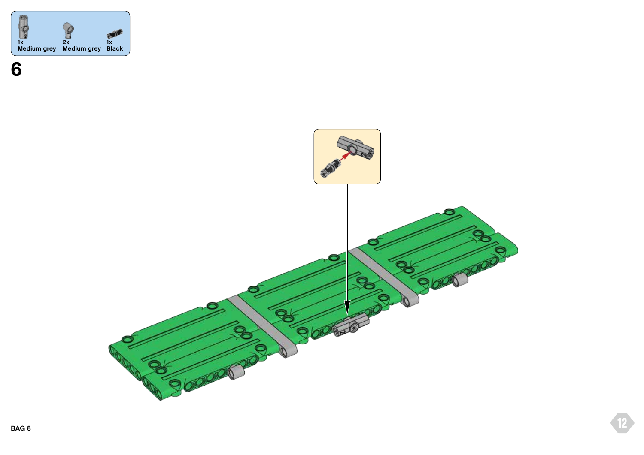

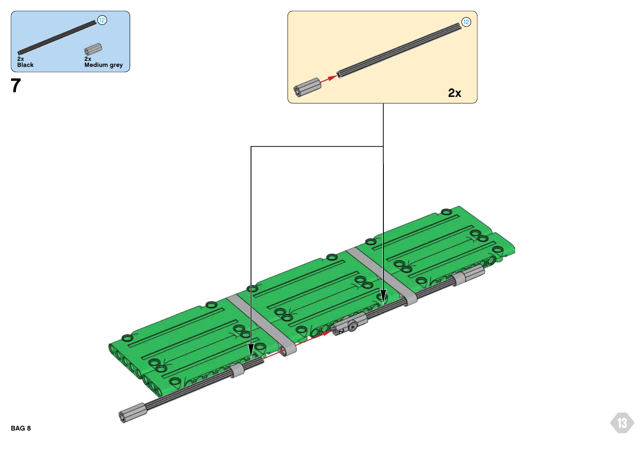

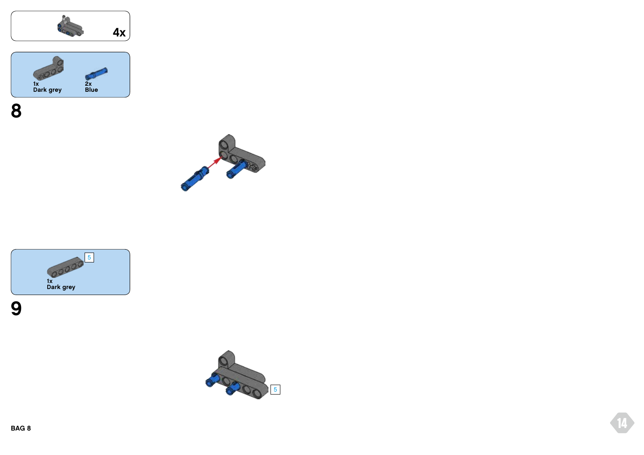













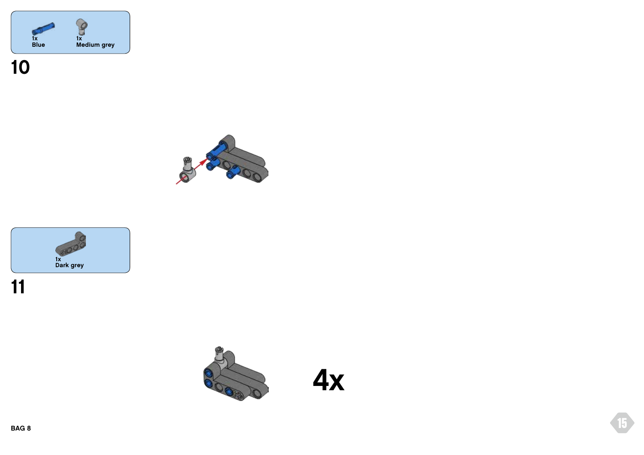







**4x**

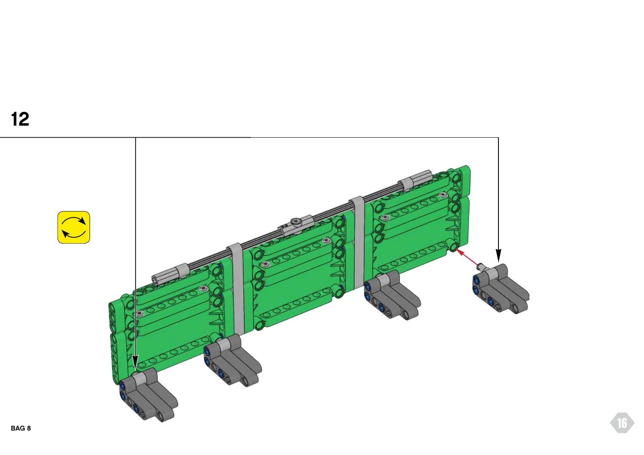